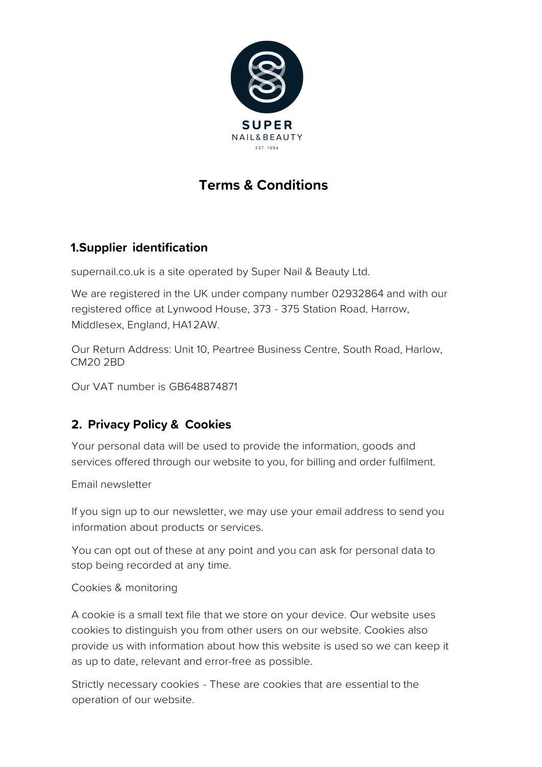

# **Terms & Conditions**

### **1.Supplier identification**

supernail.co.uk is a site operated by Super Nail & Beauty Ltd.

We are registered in the UK under company number 02932864 and with our registered office at Lynwood House, 373 - 375 Station Road, Harrow, Middlesex, England, HA1 2AW.

Our Return Address: Unit 10, Peartree Business Centre, South Road, Harlow, CM20 2BD

Our VAT number is GB648874871

### **2. Privacy Policy & Cookies**

Your personal data will be used to provide the information, goods and services offered through our website to you, for billing and order fulfilment.

Email newsletter

If you sign up to our newsletter, we may use your email address to send you information about products or services.

You can opt out of these at any point and you can ask for personal data to stop being recorded at any time.

Cookies & monitoring

A cookie is a small text file that we store on your device. Our website uses cookies to distinguish you from other users on our website. Cookies also provide us with information about how this website is used so we can keep it as up to date, relevant and error-free as possible.

Strictly necessary cookies - These are cookies that are essential to the operation of our website.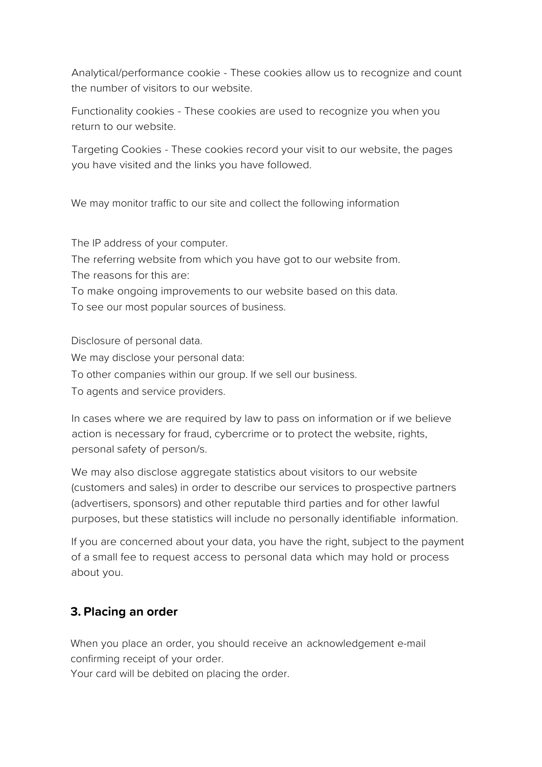Analytical/performance cookie - These cookies allow us to recognize and count the number of visitors to our website.

Functionality cookies - These cookies are used to recognize you when you return to our website.

Targeting Cookies - These cookies record your visit to our website, the pages you have visited and the links you have followed.

We may monitor traffic to our site and collect the following information

The IP address of your computer.

The referring website from which you have got to our website from. The reasons for this are:

To make ongoing improvements to our website based on this data. To see our most popular sources of business.

Disclosure of personal data.

We may disclose your personal data:

To other companies within our group. If we sell our business.

To agents and service providers.

In cases where we are required by law to pass on information or if we believe action is necessary for fraud, cybercrime or to protect the website, rights, personal safety of person/s.

We may also disclose aggregate statistics about visitors to our website (customers and sales) in order to describe our services to prospective partners (advertisers, sponsors) and other reputable third parties and for other lawful purposes, but these statistics will include no personally identifiable information.

If you are concerned about your data, you have the right, subject to the payment of a small fee to request access to personal data which may hold or process about you.

### **3. Placing an order**

When you place an order, you should receive an acknowledgement e-mail confirming receipt of your order.

Your card will be debited on placing the order.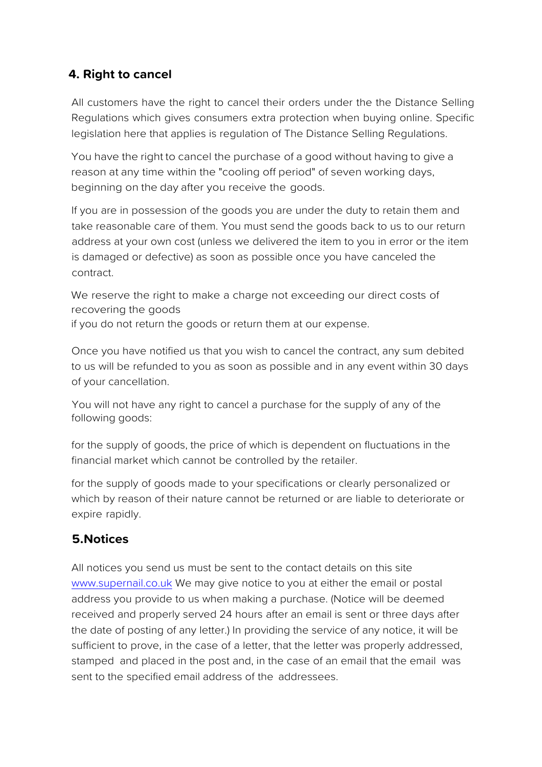### **4. Right to cancel**

All customers have the right to cancel their orders under the the Distance Selling Regulations which gives consumers extra protection when buying online. Specific legislation here that applies is regulation of The Distance Selling Regulations.

You have the right to cancel the purchase of a good without having to give a reason at any time within the "cooling off period" of seven working days, beginning on the day after you receive the goods.

If you are in possession of the goods you are under the duty to retain them and take reasonable care of them. You must send the goods back to us to our return address at your own cost (unless we delivered the item to you in error or the item is damaged or defective) as soon as possible once you have canceled the contract.

We reserve the right to make a charge not exceeding our direct costs of recovering the goods

if you do not return the goods or return them at our expense.

Once you have notified us that you wish to cancel the contract, any sum debited to us will be refunded to you as soon as possible and in any event within 30 days of your cancellation.

You will not have any right to cancel a purchase for the supply of any of the following goods:

for the supply of goods, the price of which is dependent on fluctuations in the financial market which cannot be controlled by the retailer.

for the supply of goods made to your specifications or clearly personalized or which by reason of their nature cannot be returned or are liable to deteriorate or expire rapidly.

## **5.Notices**

All notices you send us must be sent to the contact details on this site www.supernail.co.uk We may give notice to you at either the email or postal address you provide to us when making a purchase. (Notice will be deemed received and properly served 24 hours after an email is sent or three days after the date of posting of any letter.) In providing the service of any notice, it will be sufficient to prove, in the case of a letter, that the letter was properly addressed, stamped and placed in the post and, in the case of an email that the email was sent to the specified email address of the addressees.